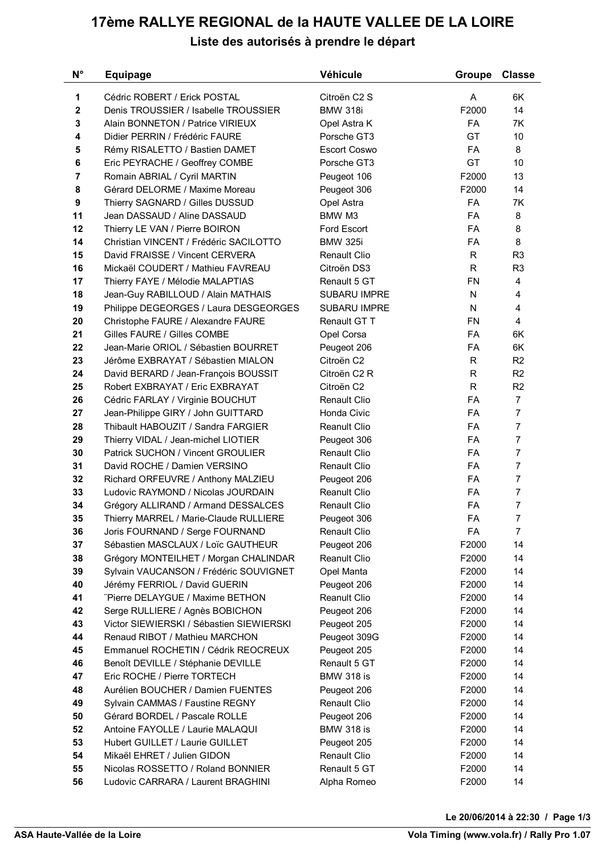## **17ème RALLYE REGIONAL de la HAUTE VALLEE DE LA LOIRE Liste des autorisés à prendre le départ**

| 1<br>Cédric ROBERT / Erick POSTAL<br>Citroën C2 S<br>A<br>6K<br>$\bf{2}$<br>F2000<br>14<br>Denis TROUSSIER / Isabelle TROUSSIER<br><b>BMW 318i</b><br>7K<br>3<br>Alain BONNETON / Patrice VIRIEUX<br><b>FA</b><br>Opel Astra K<br>GT<br>10<br>Didier PERRIN / Frédéric FAURE<br>Porsche GT3<br>4<br>8<br>5<br>Rémy RISALETTO / Bastien DAMET<br><b>Escort Coswo</b><br><b>FA</b><br>GT<br>10<br>6<br>Eric PEYRACHE / Geoffrey COMBE<br>Porsche GT3<br>13<br>7<br>Romain ABRIAL / Cyril MARTIN<br>F2000<br>Peugeot 106<br>14<br>8<br>Gérard DELORME / Maxime Moreau<br>F2000<br>Peugeot 306<br><b>7K</b><br>9<br>Thierry SAGNARD / Gilles DUSSUD<br>FA<br>Opel Astra<br>8<br>Jean DASSAUD / Aline DASSAUD<br>BMW M3<br><b>FA</b><br>FA<br>8<br>Thierry LE VAN / Pierre BOIRON<br>Ford Escort<br>8<br>14<br>Christian VINCENT / Frédéric SACILOTTO<br><b>BMW 325i</b><br>FA<br>David FRAISSE / Vincent CERVERA<br>R<br>R <sub>3</sub><br><b>Renault Clio</b><br>R<br>R <sub>3</sub><br>Mickaël COUDERT / Mathieu FAVREAU<br>Citroën DS3<br>Thierry FAYE / Mélodie MALAPTIAS<br><b>FN</b><br>Renault 5 GT<br>4<br>Jean-Guy RABILLOUD / Alain MATHAIS<br><b>SUBARU IMPRE</b><br>N<br>4<br>Philippe DEGEORGES / Laura DESGEORGES<br><b>SUBARU IMPRE</b><br>N<br>4<br>4<br><b>FN</b><br>Christophe FAURE / Alexandre FAURE<br>Renault GT T<br>6K<br>Gilles FAURE / Gilles COMBE<br><b>FA</b><br>Opel Corsa<br>Jean-Marie ORIOL / Sébastien BOURRET<br>FA<br>6K<br>Peugeot 206<br>R <sub>2</sub><br>23<br>Jérôme EXBRAYAT / Sébastien MIALON<br>Citroën C2<br>R<br>R <sub>2</sub><br>24<br>David BERARD / Jean-François BOUSSIT<br>Citroën C2 R<br>R<br>R <sub>2</sub><br>Robert EXBRAYAT / Eric EXBRAYAT<br>Citroën C2<br>R<br>$\overline{7}$<br>26<br>Renault Clio<br>FA<br>Cédric FARLAY / Virginie BOUCHUT<br>$\overline{7}$<br><b>FA</b><br>Jean-Philippe GIRY / John GUITTARD<br>Honda Civic<br>$\overline{7}$<br>28<br>Thibault HABOUZIT / Sandra FARGIER<br><b>Reanult Clio</b><br>FA<br>$\overline{7}$<br>29<br>Thierry VIDAL / Jean-michel LIOTIER<br><b>FA</b><br>Peugeot 306<br>$\overline{7}$<br>Patrick SUCHON / Vincent GROULIER<br><b>FA</b><br><b>Renault Clio</b><br>$\overline{7}$<br>31<br>David ROCHE / Damien VERSINO<br><b>Renault Clio</b><br>FA<br>$\overline{7}$<br>32<br><b>FA</b><br>Richard ORFEUVRE / Anthony MALZIEU<br>Peugeot 206<br>$\overline{7}$<br>33<br>FA<br>Ludovic RAYMOND / Nicolas JOURDAIN<br><b>Reanult Clio</b><br>$\overline{7}$<br>FA<br>34<br>Grégory ALLIRAND / Armand DESSALCES<br>Renault Clio<br>7<br>35<br>FA<br>Thierry MARREL / Marie-Claude RULLIERE<br>Peugeot 306<br>36<br>Joris FOURNAND / Serge FOURNAND<br>FA<br><b>Renault Clio</b><br>7<br>37<br>Sébastien MASCLAUX / Loïc GAUTHEUR<br>F2000<br>14<br>Peugeot 206<br>38<br>Grégory MONTEILHET / Morgan CHALINDAR<br><b>Reanult Clio</b><br>F2000<br>14<br>39<br>Sylvain VAUCANSON / Frédéric SOUVIGNET<br>Opel Manta<br>14<br>F2000<br>14<br>40<br>Jérémy FERRIOL / David GUERIN<br>Peugeot 206<br>F2000<br>"Pierre DELAYGUE / Maxime BETHON<br>Reanult Clio<br>14<br>F2000<br>Serge RULLIERE / Agnès BOBICHON<br>14<br>Peugeot 206<br>F2000<br>Victor SIEWIERSKI / Sébastien SIEWIERSKI<br>F2000<br>14<br>Peugeot 205<br>Renaud RIBOT / Mathieu MARCHON<br>Peugeot 309G<br>F2000<br>14<br>Emmanuel ROCHETIN / Cédrik REOCREUX<br>14<br>Peugeot 205<br>F2000<br>14<br>Benoît DEVILLE / Stéphanie DEVILLE<br>Renault 5 GT<br>F2000<br>Eric ROCHE / Pierre TORTECH<br><b>BMW 318 is</b><br>14<br>F2000<br>Aurélien BOUCHER / Damien FUENTES<br>14<br>Peugeot 206<br>F2000<br>Renault Clio<br>F2000<br>14<br>Sylvain CAMMAS / Faustine REGNY<br>Gérard BORDEL / Pascale ROLLE<br>Peugeot 206<br>F2000<br>14<br>52<br>Antoine FAYOLLE / Laurie MALAQUI<br><b>BMW 318 is</b><br>14<br>F2000<br>Hubert GUILLET / Laurie GUILLET<br>14<br>Peugeot 205<br>F2000<br>Mikaël EHRET / Julien GIDON<br><b>Renault Clio</b><br>F2000<br>14<br>Nicolas ROSSETTO / Roland BONNIER<br>Renault 5 GT<br>14<br>55<br>F2000 | N° | <b>Equipage</b>                    | Véhicule    | Groupe | Classe |
|-----------------------------------------------------------------------------------------------------------------------------------------------------------------------------------------------------------------------------------------------------------------------------------------------------------------------------------------------------------------------------------------------------------------------------------------------------------------------------------------------------------------------------------------------------------------------------------------------------------------------------------------------------------------------------------------------------------------------------------------------------------------------------------------------------------------------------------------------------------------------------------------------------------------------------------------------------------------------------------------------------------------------------------------------------------------------------------------------------------------------------------------------------------------------------------------------------------------------------------------------------------------------------------------------------------------------------------------------------------------------------------------------------------------------------------------------------------------------------------------------------------------------------------------------------------------------------------------------------------------------------------------------------------------------------------------------------------------------------------------------------------------------------------------------------------------------------------------------------------------------------------------------------------------------------------------------------------------------------------------------------------------------------------------------------------------------------------------------------------------------------------------------------------------------------------------------------------------------------------------------------------------------------------------------------------------------------------------------------------------------------------------------------------------------------------------------------------------------------------------------------------------------------------------------------------------------------------------------------------------------------------------------------------------------------------------------------------------------------------------------------------------------------------------------------------------------------------------------------------------------------------------------------------------------------------------------------------------------------------------------------------------------------------------------------------------------------------------------------------------------------------------------------------------------------------------------------------------------------------------------------------------------------------------------------------------------------------------------------------------------------------------------------------------------------------------------------------------------------------------------------------------------------------------------------------------------------------------------------------------------------------------------------------------------------------------------------------------------------------------------------------------------------------------------------------------------------------------------------------------------------------------------------------------------------------------------------------------------------------------------------------------|----|------------------------------------|-------------|--------|--------|
|                                                                                                                                                                                                                                                                                                                                                                                                                                                                                                                                                                                                                                                                                                                                                                                                                                                                                                                                                                                                                                                                                                                                                                                                                                                                                                                                                                                                                                                                                                                                                                                                                                                                                                                                                                                                                                                                                                                                                                                                                                                                                                                                                                                                                                                                                                                                                                                                                                                                                                                                                                                                                                                                                                                                                                                                                                                                                                                                                                                                                                                                                                                                                                                                                                                                                                                                                                                                                                                                                                                                                                                                                                                                                                                                                                                                                                                                                                                                                                                                                 |    |                                    |             |        |        |
|                                                                                                                                                                                                                                                                                                                                                                                                                                                                                                                                                                                                                                                                                                                                                                                                                                                                                                                                                                                                                                                                                                                                                                                                                                                                                                                                                                                                                                                                                                                                                                                                                                                                                                                                                                                                                                                                                                                                                                                                                                                                                                                                                                                                                                                                                                                                                                                                                                                                                                                                                                                                                                                                                                                                                                                                                                                                                                                                                                                                                                                                                                                                                                                                                                                                                                                                                                                                                                                                                                                                                                                                                                                                                                                                                                                                                                                                                                                                                                                                                 |    |                                    |             |        |        |
|                                                                                                                                                                                                                                                                                                                                                                                                                                                                                                                                                                                                                                                                                                                                                                                                                                                                                                                                                                                                                                                                                                                                                                                                                                                                                                                                                                                                                                                                                                                                                                                                                                                                                                                                                                                                                                                                                                                                                                                                                                                                                                                                                                                                                                                                                                                                                                                                                                                                                                                                                                                                                                                                                                                                                                                                                                                                                                                                                                                                                                                                                                                                                                                                                                                                                                                                                                                                                                                                                                                                                                                                                                                                                                                                                                                                                                                                                                                                                                                                                 |    |                                    |             |        |        |
|                                                                                                                                                                                                                                                                                                                                                                                                                                                                                                                                                                                                                                                                                                                                                                                                                                                                                                                                                                                                                                                                                                                                                                                                                                                                                                                                                                                                                                                                                                                                                                                                                                                                                                                                                                                                                                                                                                                                                                                                                                                                                                                                                                                                                                                                                                                                                                                                                                                                                                                                                                                                                                                                                                                                                                                                                                                                                                                                                                                                                                                                                                                                                                                                                                                                                                                                                                                                                                                                                                                                                                                                                                                                                                                                                                                                                                                                                                                                                                                                                 |    |                                    |             |        |        |
|                                                                                                                                                                                                                                                                                                                                                                                                                                                                                                                                                                                                                                                                                                                                                                                                                                                                                                                                                                                                                                                                                                                                                                                                                                                                                                                                                                                                                                                                                                                                                                                                                                                                                                                                                                                                                                                                                                                                                                                                                                                                                                                                                                                                                                                                                                                                                                                                                                                                                                                                                                                                                                                                                                                                                                                                                                                                                                                                                                                                                                                                                                                                                                                                                                                                                                                                                                                                                                                                                                                                                                                                                                                                                                                                                                                                                                                                                                                                                                                                                 |    |                                    |             |        |        |
|                                                                                                                                                                                                                                                                                                                                                                                                                                                                                                                                                                                                                                                                                                                                                                                                                                                                                                                                                                                                                                                                                                                                                                                                                                                                                                                                                                                                                                                                                                                                                                                                                                                                                                                                                                                                                                                                                                                                                                                                                                                                                                                                                                                                                                                                                                                                                                                                                                                                                                                                                                                                                                                                                                                                                                                                                                                                                                                                                                                                                                                                                                                                                                                                                                                                                                                                                                                                                                                                                                                                                                                                                                                                                                                                                                                                                                                                                                                                                                                                                 |    |                                    |             |        |        |
|                                                                                                                                                                                                                                                                                                                                                                                                                                                                                                                                                                                                                                                                                                                                                                                                                                                                                                                                                                                                                                                                                                                                                                                                                                                                                                                                                                                                                                                                                                                                                                                                                                                                                                                                                                                                                                                                                                                                                                                                                                                                                                                                                                                                                                                                                                                                                                                                                                                                                                                                                                                                                                                                                                                                                                                                                                                                                                                                                                                                                                                                                                                                                                                                                                                                                                                                                                                                                                                                                                                                                                                                                                                                                                                                                                                                                                                                                                                                                                                                                 |    |                                    |             |        |        |
|                                                                                                                                                                                                                                                                                                                                                                                                                                                                                                                                                                                                                                                                                                                                                                                                                                                                                                                                                                                                                                                                                                                                                                                                                                                                                                                                                                                                                                                                                                                                                                                                                                                                                                                                                                                                                                                                                                                                                                                                                                                                                                                                                                                                                                                                                                                                                                                                                                                                                                                                                                                                                                                                                                                                                                                                                                                                                                                                                                                                                                                                                                                                                                                                                                                                                                                                                                                                                                                                                                                                                                                                                                                                                                                                                                                                                                                                                                                                                                                                                 |    |                                    |             |        |        |
|                                                                                                                                                                                                                                                                                                                                                                                                                                                                                                                                                                                                                                                                                                                                                                                                                                                                                                                                                                                                                                                                                                                                                                                                                                                                                                                                                                                                                                                                                                                                                                                                                                                                                                                                                                                                                                                                                                                                                                                                                                                                                                                                                                                                                                                                                                                                                                                                                                                                                                                                                                                                                                                                                                                                                                                                                                                                                                                                                                                                                                                                                                                                                                                                                                                                                                                                                                                                                                                                                                                                                                                                                                                                                                                                                                                                                                                                                                                                                                                                                 |    |                                    |             |        |        |
|                                                                                                                                                                                                                                                                                                                                                                                                                                                                                                                                                                                                                                                                                                                                                                                                                                                                                                                                                                                                                                                                                                                                                                                                                                                                                                                                                                                                                                                                                                                                                                                                                                                                                                                                                                                                                                                                                                                                                                                                                                                                                                                                                                                                                                                                                                                                                                                                                                                                                                                                                                                                                                                                                                                                                                                                                                                                                                                                                                                                                                                                                                                                                                                                                                                                                                                                                                                                                                                                                                                                                                                                                                                                                                                                                                                                                                                                                                                                                                                                                 | 11 |                                    |             |        |        |
|                                                                                                                                                                                                                                                                                                                                                                                                                                                                                                                                                                                                                                                                                                                                                                                                                                                                                                                                                                                                                                                                                                                                                                                                                                                                                                                                                                                                                                                                                                                                                                                                                                                                                                                                                                                                                                                                                                                                                                                                                                                                                                                                                                                                                                                                                                                                                                                                                                                                                                                                                                                                                                                                                                                                                                                                                                                                                                                                                                                                                                                                                                                                                                                                                                                                                                                                                                                                                                                                                                                                                                                                                                                                                                                                                                                                                                                                                                                                                                                                                 | 12 |                                    |             |        |        |
|                                                                                                                                                                                                                                                                                                                                                                                                                                                                                                                                                                                                                                                                                                                                                                                                                                                                                                                                                                                                                                                                                                                                                                                                                                                                                                                                                                                                                                                                                                                                                                                                                                                                                                                                                                                                                                                                                                                                                                                                                                                                                                                                                                                                                                                                                                                                                                                                                                                                                                                                                                                                                                                                                                                                                                                                                                                                                                                                                                                                                                                                                                                                                                                                                                                                                                                                                                                                                                                                                                                                                                                                                                                                                                                                                                                                                                                                                                                                                                                                                 |    |                                    |             |        |        |
|                                                                                                                                                                                                                                                                                                                                                                                                                                                                                                                                                                                                                                                                                                                                                                                                                                                                                                                                                                                                                                                                                                                                                                                                                                                                                                                                                                                                                                                                                                                                                                                                                                                                                                                                                                                                                                                                                                                                                                                                                                                                                                                                                                                                                                                                                                                                                                                                                                                                                                                                                                                                                                                                                                                                                                                                                                                                                                                                                                                                                                                                                                                                                                                                                                                                                                                                                                                                                                                                                                                                                                                                                                                                                                                                                                                                                                                                                                                                                                                                                 | 15 |                                    |             |        |        |
|                                                                                                                                                                                                                                                                                                                                                                                                                                                                                                                                                                                                                                                                                                                                                                                                                                                                                                                                                                                                                                                                                                                                                                                                                                                                                                                                                                                                                                                                                                                                                                                                                                                                                                                                                                                                                                                                                                                                                                                                                                                                                                                                                                                                                                                                                                                                                                                                                                                                                                                                                                                                                                                                                                                                                                                                                                                                                                                                                                                                                                                                                                                                                                                                                                                                                                                                                                                                                                                                                                                                                                                                                                                                                                                                                                                                                                                                                                                                                                                                                 | 16 |                                    |             |        |        |
|                                                                                                                                                                                                                                                                                                                                                                                                                                                                                                                                                                                                                                                                                                                                                                                                                                                                                                                                                                                                                                                                                                                                                                                                                                                                                                                                                                                                                                                                                                                                                                                                                                                                                                                                                                                                                                                                                                                                                                                                                                                                                                                                                                                                                                                                                                                                                                                                                                                                                                                                                                                                                                                                                                                                                                                                                                                                                                                                                                                                                                                                                                                                                                                                                                                                                                                                                                                                                                                                                                                                                                                                                                                                                                                                                                                                                                                                                                                                                                                                                 | 17 |                                    |             |        |        |
|                                                                                                                                                                                                                                                                                                                                                                                                                                                                                                                                                                                                                                                                                                                                                                                                                                                                                                                                                                                                                                                                                                                                                                                                                                                                                                                                                                                                                                                                                                                                                                                                                                                                                                                                                                                                                                                                                                                                                                                                                                                                                                                                                                                                                                                                                                                                                                                                                                                                                                                                                                                                                                                                                                                                                                                                                                                                                                                                                                                                                                                                                                                                                                                                                                                                                                                                                                                                                                                                                                                                                                                                                                                                                                                                                                                                                                                                                                                                                                                                                 | 18 |                                    |             |        |        |
|                                                                                                                                                                                                                                                                                                                                                                                                                                                                                                                                                                                                                                                                                                                                                                                                                                                                                                                                                                                                                                                                                                                                                                                                                                                                                                                                                                                                                                                                                                                                                                                                                                                                                                                                                                                                                                                                                                                                                                                                                                                                                                                                                                                                                                                                                                                                                                                                                                                                                                                                                                                                                                                                                                                                                                                                                                                                                                                                                                                                                                                                                                                                                                                                                                                                                                                                                                                                                                                                                                                                                                                                                                                                                                                                                                                                                                                                                                                                                                                                                 | 19 |                                    |             |        |        |
|                                                                                                                                                                                                                                                                                                                                                                                                                                                                                                                                                                                                                                                                                                                                                                                                                                                                                                                                                                                                                                                                                                                                                                                                                                                                                                                                                                                                                                                                                                                                                                                                                                                                                                                                                                                                                                                                                                                                                                                                                                                                                                                                                                                                                                                                                                                                                                                                                                                                                                                                                                                                                                                                                                                                                                                                                                                                                                                                                                                                                                                                                                                                                                                                                                                                                                                                                                                                                                                                                                                                                                                                                                                                                                                                                                                                                                                                                                                                                                                                                 | 20 |                                    |             |        |        |
|                                                                                                                                                                                                                                                                                                                                                                                                                                                                                                                                                                                                                                                                                                                                                                                                                                                                                                                                                                                                                                                                                                                                                                                                                                                                                                                                                                                                                                                                                                                                                                                                                                                                                                                                                                                                                                                                                                                                                                                                                                                                                                                                                                                                                                                                                                                                                                                                                                                                                                                                                                                                                                                                                                                                                                                                                                                                                                                                                                                                                                                                                                                                                                                                                                                                                                                                                                                                                                                                                                                                                                                                                                                                                                                                                                                                                                                                                                                                                                                                                 | 21 |                                    |             |        |        |
|                                                                                                                                                                                                                                                                                                                                                                                                                                                                                                                                                                                                                                                                                                                                                                                                                                                                                                                                                                                                                                                                                                                                                                                                                                                                                                                                                                                                                                                                                                                                                                                                                                                                                                                                                                                                                                                                                                                                                                                                                                                                                                                                                                                                                                                                                                                                                                                                                                                                                                                                                                                                                                                                                                                                                                                                                                                                                                                                                                                                                                                                                                                                                                                                                                                                                                                                                                                                                                                                                                                                                                                                                                                                                                                                                                                                                                                                                                                                                                                                                 | 22 |                                    |             |        |        |
|                                                                                                                                                                                                                                                                                                                                                                                                                                                                                                                                                                                                                                                                                                                                                                                                                                                                                                                                                                                                                                                                                                                                                                                                                                                                                                                                                                                                                                                                                                                                                                                                                                                                                                                                                                                                                                                                                                                                                                                                                                                                                                                                                                                                                                                                                                                                                                                                                                                                                                                                                                                                                                                                                                                                                                                                                                                                                                                                                                                                                                                                                                                                                                                                                                                                                                                                                                                                                                                                                                                                                                                                                                                                                                                                                                                                                                                                                                                                                                                                                 |    |                                    |             |        |        |
|                                                                                                                                                                                                                                                                                                                                                                                                                                                                                                                                                                                                                                                                                                                                                                                                                                                                                                                                                                                                                                                                                                                                                                                                                                                                                                                                                                                                                                                                                                                                                                                                                                                                                                                                                                                                                                                                                                                                                                                                                                                                                                                                                                                                                                                                                                                                                                                                                                                                                                                                                                                                                                                                                                                                                                                                                                                                                                                                                                                                                                                                                                                                                                                                                                                                                                                                                                                                                                                                                                                                                                                                                                                                                                                                                                                                                                                                                                                                                                                                                 |    |                                    |             |        |        |
|                                                                                                                                                                                                                                                                                                                                                                                                                                                                                                                                                                                                                                                                                                                                                                                                                                                                                                                                                                                                                                                                                                                                                                                                                                                                                                                                                                                                                                                                                                                                                                                                                                                                                                                                                                                                                                                                                                                                                                                                                                                                                                                                                                                                                                                                                                                                                                                                                                                                                                                                                                                                                                                                                                                                                                                                                                                                                                                                                                                                                                                                                                                                                                                                                                                                                                                                                                                                                                                                                                                                                                                                                                                                                                                                                                                                                                                                                                                                                                                                                 | 25 |                                    |             |        |        |
|                                                                                                                                                                                                                                                                                                                                                                                                                                                                                                                                                                                                                                                                                                                                                                                                                                                                                                                                                                                                                                                                                                                                                                                                                                                                                                                                                                                                                                                                                                                                                                                                                                                                                                                                                                                                                                                                                                                                                                                                                                                                                                                                                                                                                                                                                                                                                                                                                                                                                                                                                                                                                                                                                                                                                                                                                                                                                                                                                                                                                                                                                                                                                                                                                                                                                                                                                                                                                                                                                                                                                                                                                                                                                                                                                                                                                                                                                                                                                                                                                 |    |                                    |             |        |        |
|                                                                                                                                                                                                                                                                                                                                                                                                                                                                                                                                                                                                                                                                                                                                                                                                                                                                                                                                                                                                                                                                                                                                                                                                                                                                                                                                                                                                                                                                                                                                                                                                                                                                                                                                                                                                                                                                                                                                                                                                                                                                                                                                                                                                                                                                                                                                                                                                                                                                                                                                                                                                                                                                                                                                                                                                                                                                                                                                                                                                                                                                                                                                                                                                                                                                                                                                                                                                                                                                                                                                                                                                                                                                                                                                                                                                                                                                                                                                                                                                                 | 27 |                                    |             |        |        |
|                                                                                                                                                                                                                                                                                                                                                                                                                                                                                                                                                                                                                                                                                                                                                                                                                                                                                                                                                                                                                                                                                                                                                                                                                                                                                                                                                                                                                                                                                                                                                                                                                                                                                                                                                                                                                                                                                                                                                                                                                                                                                                                                                                                                                                                                                                                                                                                                                                                                                                                                                                                                                                                                                                                                                                                                                                                                                                                                                                                                                                                                                                                                                                                                                                                                                                                                                                                                                                                                                                                                                                                                                                                                                                                                                                                                                                                                                                                                                                                                                 |    |                                    |             |        |        |
|                                                                                                                                                                                                                                                                                                                                                                                                                                                                                                                                                                                                                                                                                                                                                                                                                                                                                                                                                                                                                                                                                                                                                                                                                                                                                                                                                                                                                                                                                                                                                                                                                                                                                                                                                                                                                                                                                                                                                                                                                                                                                                                                                                                                                                                                                                                                                                                                                                                                                                                                                                                                                                                                                                                                                                                                                                                                                                                                                                                                                                                                                                                                                                                                                                                                                                                                                                                                                                                                                                                                                                                                                                                                                                                                                                                                                                                                                                                                                                                                                 |    |                                    |             |        |        |
|                                                                                                                                                                                                                                                                                                                                                                                                                                                                                                                                                                                                                                                                                                                                                                                                                                                                                                                                                                                                                                                                                                                                                                                                                                                                                                                                                                                                                                                                                                                                                                                                                                                                                                                                                                                                                                                                                                                                                                                                                                                                                                                                                                                                                                                                                                                                                                                                                                                                                                                                                                                                                                                                                                                                                                                                                                                                                                                                                                                                                                                                                                                                                                                                                                                                                                                                                                                                                                                                                                                                                                                                                                                                                                                                                                                                                                                                                                                                                                                                                 | 30 |                                    |             |        |        |
|                                                                                                                                                                                                                                                                                                                                                                                                                                                                                                                                                                                                                                                                                                                                                                                                                                                                                                                                                                                                                                                                                                                                                                                                                                                                                                                                                                                                                                                                                                                                                                                                                                                                                                                                                                                                                                                                                                                                                                                                                                                                                                                                                                                                                                                                                                                                                                                                                                                                                                                                                                                                                                                                                                                                                                                                                                                                                                                                                                                                                                                                                                                                                                                                                                                                                                                                                                                                                                                                                                                                                                                                                                                                                                                                                                                                                                                                                                                                                                                                                 |    |                                    |             |        |        |
|                                                                                                                                                                                                                                                                                                                                                                                                                                                                                                                                                                                                                                                                                                                                                                                                                                                                                                                                                                                                                                                                                                                                                                                                                                                                                                                                                                                                                                                                                                                                                                                                                                                                                                                                                                                                                                                                                                                                                                                                                                                                                                                                                                                                                                                                                                                                                                                                                                                                                                                                                                                                                                                                                                                                                                                                                                                                                                                                                                                                                                                                                                                                                                                                                                                                                                                                                                                                                                                                                                                                                                                                                                                                                                                                                                                                                                                                                                                                                                                                                 |    |                                    |             |        |        |
|                                                                                                                                                                                                                                                                                                                                                                                                                                                                                                                                                                                                                                                                                                                                                                                                                                                                                                                                                                                                                                                                                                                                                                                                                                                                                                                                                                                                                                                                                                                                                                                                                                                                                                                                                                                                                                                                                                                                                                                                                                                                                                                                                                                                                                                                                                                                                                                                                                                                                                                                                                                                                                                                                                                                                                                                                                                                                                                                                                                                                                                                                                                                                                                                                                                                                                                                                                                                                                                                                                                                                                                                                                                                                                                                                                                                                                                                                                                                                                                                                 |    |                                    |             |        |        |
|                                                                                                                                                                                                                                                                                                                                                                                                                                                                                                                                                                                                                                                                                                                                                                                                                                                                                                                                                                                                                                                                                                                                                                                                                                                                                                                                                                                                                                                                                                                                                                                                                                                                                                                                                                                                                                                                                                                                                                                                                                                                                                                                                                                                                                                                                                                                                                                                                                                                                                                                                                                                                                                                                                                                                                                                                                                                                                                                                                                                                                                                                                                                                                                                                                                                                                                                                                                                                                                                                                                                                                                                                                                                                                                                                                                                                                                                                                                                                                                                                 |    |                                    |             |        |        |
|                                                                                                                                                                                                                                                                                                                                                                                                                                                                                                                                                                                                                                                                                                                                                                                                                                                                                                                                                                                                                                                                                                                                                                                                                                                                                                                                                                                                                                                                                                                                                                                                                                                                                                                                                                                                                                                                                                                                                                                                                                                                                                                                                                                                                                                                                                                                                                                                                                                                                                                                                                                                                                                                                                                                                                                                                                                                                                                                                                                                                                                                                                                                                                                                                                                                                                                                                                                                                                                                                                                                                                                                                                                                                                                                                                                                                                                                                                                                                                                                                 |    |                                    |             |        |        |
|                                                                                                                                                                                                                                                                                                                                                                                                                                                                                                                                                                                                                                                                                                                                                                                                                                                                                                                                                                                                                                                                                                                                                                                                                                                                                                                                                                                                                                                                                                                                                                                                                                                                                                                                                                                                                                                                                                                                                                                                                                                                                                                                                                                                                                                                                                                                                                                                                                                                                                                                                                                                                                                                                                                                                                                                                                                                                                                                                                                                                                                                                                                                                                                                                                                                                                                                                                                                                                                                                                                                                                                                                                                                                                                                                                                                                                                                                                                                                                                                                 |    |                                    |             |        |        |
|                                                                                                                                                                                                                                                                                                                                                                                                                                                                                                                                                                                                                                                                                                                                                                                                                                                                                                                                                                                                                                                                                                                                                                                                                                                                                                                                                                                                                                                                                                                                                                                                                                                                                                                                                                                                                                                                                                                                                                                                                                                                                                                                                                                                                                                                                                                                                                                                                                                                                                                                                                                                                                                                                                                                                                                                                                                                                                                                                                                                                                                                                                                                                                                                                                                                                                                                                                                                                                                                                                                                                                                                                                                                                                                                                                                                                                                                                                                                                                                                                 |    |                                    |             |        |        |
|                                                                                                                                                                                                                                                                                                                                                                                                                                                                                                                                                                                                                                                                                                                                                                                                                                                                                                                                                                                                                                                                                                                                                                                                                                                                                                                                                                                                                                                                                                                                                                                                                                                                                                                                                                                                                                                                                                                                                                                                                                                                                                                                                                                                                                                                                                                                                                                                                                                                                                                                                                                                                                                                                                                                                                                                                                                                                                                                                                                                                                                                                                                                                                                                                                                                                                                                                                                                                                                                                                                                                                                                                                                                                                                                                                                                                                                                                                                                                                                                                 |    |                                    |             |        |        |
|                                                                                                                                                                                                                                                                                                                                                                                                                                                                                                                                                                                                                                                                                                                                                                                                                                                                                                                                                                                                                                                                                                                                                                                                                                                                                                                                                                                                                                                                                                                                                                                                                                                                                                                                                                                                                                                                                                                                                                                                                                                                                                                                                                                                                                                                                                                                                                                                                                                                                                                                                                                                                                                                                                                                                                                                                                                                                                                                                                                                                                                                                                                                                                                                                                                                                                                                                                                                                                                                                                                                                                                                                                                                                                                                                                                                                                                                                                                                                                                                                 |    |                                    |             |        |        |
|                                                                                                                                                                                                                                                                                                                                                                                                                                                                                                                                                                                                                                                                                                                                                                                                                                                                                                                                                                                                                                                                                                                                                                                                                                                                                                                                                                                                                                                                                                                                                                                                                                                                                                                                                                                                                                                                                                                                                                                                                                                                                                                                                                                                                                                                                                                                                                                                                                                                                                                                                                                                                                                                                                                                                                                                                                                                                                                                                                                                                                                                                                                                                                                                                                                                                                                                                                                                                                                                                                                                                                                                                                                                                                                                                                                                                                                                                                                                                                                                                 |    |                                    |             |        |        |
|                                                                                                                                                                                                                                                                                                                                                                                                                                                                                                                                                                                                                                                                                                                                                                                                                                                                                                                                                                                                                                                                                                                                                                                                                                                                                                                                                                                                                                                                                                                                                                                                                                                                                                                                                                                                                                                                                                                                                                                                                                                                                                                                                                                                                                                                                                                                                                                                                                                                                                                                                                                                                                                                                                                                                                                                                                                                                                                                                                                                                                                                                                                                                                                                                                                                                                                                                                                                                                                                                                                                                                                                                                                                                                                                                                                                                                                                                                                                                                                                                 | 41 |                                    |             |        |        |
|                                                                                                                                                                                                                                                                                                                                                                                                                                                                                                                                                                                                                                                                                                                                                                                                                                                                                                                                                                                                                                                                                                                                                                                                                                                                                                                                                                                                                                                                                                                                                                                                                                                                                                                                                                                                                                                                                                                                                                                                                                                                                                                                                                                                                                                                                                                                                                                                                                                                                                                                                                                                                                                                                                                                                                                                                                                                                                                                                                                                                                                                                                                                                                                                                                                                                                                                                                                                                                                                                                                                                                                                                                                                                                                                                                                                                                                                                                                                                                                                                 | 42 |                                    |             |        |        |
|                                                                                                                                                                                                                                                                                                                                                                                                                                                                                                                                                                                                                                                                                                                                                                                                                                                                                                                                                                                                                                                                                                                                                                                                                                                                                                                                                                                                                                                                                                                                                                                                                                                                                                                                                                                                                                                                                                                                                                                                                                                                                                                                                                                                                                                                                                                                                                                                                                                                                                                                                                                                                                                                                                                                                                                                                                                                                                                                                                                                                                                                                                                                                                                                                                                                                                                                                                                                                                                                                                                                                                                                                                                                                                                                                                                                                                                                                                                                                                                                                 | 43 |                                    |             |        |        |
|                                                                                                                                                                                                                                                                                                                                                                                                                                                                                                                                                                                                                                                                                                                                                                                                                                                                                                                                                                                                                                                                                                                                                                                                                                                                                                                                                                                                                                                                                                                                                                                                                                                                                                                                                                                                                                                                                                                                                                                                                                                                                                                                                                                                                                                                                                                                                                                                                                                                                                                                                                                                                                                                                                                                                                                                                                                                                                                                                                                                                                                                                                                                                                                                                                                                                                                                                                                                                                                                                                                                                                                                                                                                                                                                                                                                                                                                                                                                                                                                                 | 44 |                                    |             |        |        |
|                                                                                                                                                                                                                                                                                                                                                                                                                                                                                                                                                                                                                                                                                                                                                                                                                                                                                                                                                                                                                                                                                                                                                                                                                                                                                                                                                                                                                                                                                                                                                                                                                                                                                                                                                                                                                                                                                                                                                                                                                                                                                                                                                                                                                                                                                                                                                                                                                                                                                                                                                                                                                                                                                                                                                                                                                                                                                                                                                                                                                                                                                                                                                                                                                                                                                                                                                                                                                                                                                                                                                                                                                                                                                                                                                                                                                                                                                                                                                                                                                 | 45 |                                    |             |        |        |
|                                                                                                                                                                                                                                                                                                                                                                                                                                                                                                                                                                                                                                                                                                                                                                                                                                                                                                                                                                                                                                                                                                                                                                                                                                                                                                                                                                                                                                                                                                                                                                                                                                                                                                                                                                                                                                                                                                                                                                                                                                                                                                                                                                                                                                                                                                                                                                                                                                                                                                                                                                                                                                                                                                                                                                                                                                                                                                                                                                                                                                                                                                                                                                                                                                                                                                                                                                                                                                                                                                                                                                                                                                                                                                                                                                                                                                                                                                                                                                                                                 | 46 |                                    |             |        |        |
|                                                                                                                                                                                                                                                                                                                                                                                                                                                                                                                                                                                                                                                                                                                                                                                                                                                                                                                                                                                                                                                                                                                                                                                                                                                                                                                                                                                                                                                                                                                                                                                                                                                                                                                                                                                                                                                                                                                                                                                                                                                                                                                                                                                                                                                                                                                                                                                                                                                                                                                                                                                                                                                                                                                                                                                                                                                                                                                                                                                                                                                                                                                                                                                                                                                                                                                                                                                                                                                                                                                                                                                                                                                                                                                                                                                                                                                                                                                                                                                                                 | 47 |                                    |             |        |        |
|                                                                                                                                                                                                                                                                                                                                                                                                                                                                                                                                                                                                                                                                                                                                                                                                                                                                                                                                                                                                                                                                                                                                                                                                                                                                                                                                                                                                                                                                                                                                                                                                                                                                                                                                                                                                                                                                                                                                                                                                                                                                                                                                                                                                                                                                                                                                                                                                                                                                                                                                                                                                                                                                                                                                                                                                                                                                                                                                                                                                                                                                                                                                                                                                                                                                                                                                                                                                                                                                                                                                                                                                                                                                                                                                                                                                                                                                                                                                                                                                                 | 48 |                                    |             |        |        |
|                                                                                                                                                                                                                                                                                                                                                                                                                                                                                                                                                                                                                                                                                                                                                                                                                                                                                                                                                                                                                                                                                                                                                                                                                                                                                                                                                                                                                                                                                                                                                                                                                                                                                                                                                                                                                                                                                                                                                                                                                                                                                                                                                                                                                                                                                                                                                                                                                                                                                                                                                                                                                                                                                                                                                                                                                                                                                                                                                                                                                                                                                                                                                                                                                                                                                                                                                                                                                                                                                                                                                                                                                                                                                                                                                                                                                                                                                                                                                                                                                 | 49 |                                    |             |        |        |
|                                                                                                                                                                                                                                                                                                                                                                                                                                                                                                                                                                                                                                                                                                                                                                                                                                                                                                                                                                                                                                                                                                                                                                                                                                                                                                                                                                                                                                                                                                                                                                                                                                                                                                                                                                                                                                                                                                                                                                                                                                                                                                                                                                                                                                                                                                                                                                                                                                                                                                                                                                                                                                                                                                                                                                                                                                                                                                                                                                                                                                                                                                                                                                                                                                                                                                                                                                                                                                                                                                                                                                                                                                                                                                                                                                                                                                                                                                                                                                                                                 | 50 |                                    |             |        |        |
|                                                                                                                                                                                                                                                                                                                                                                                                                                                                                                                                                                                                                                                                                                                                                                                                                                                                                                                                                                                                                                                                                                                                                                                                                                                                                                                                                                                                                                                                                                                                                                                                                                                                                                                                                                                                                                                                                                                                                                                                                                                                                                                                                                                                                                                                                                                                                                                                                                                                                                                                                                                                                                                                                                                                                                                                                                                                                                                                                                                                                                                                                                                                                                                                                                                                                                                                                                                                                                                                                                                                                                                                                                                                                                                                                                                                                                                                                                                                                                                                                 |    |                                    |             |        |        |
|                                                                                                                                                                                                                                                                                                                                                                                                                                                                                                                                                                                                                                                                                                                                                                                                                                                                                                                                                                                                                                                                                                                                                                                                                                                                                                                                                                                                                                                                                                                                                                                                                                                                                                                                                                                                                                                                                                                                                                                                                                                                                                                                                                                                                                                                                                                                                                                                                                                                                                                                                                                                                                                                                                                                                                                                                                                                                                                                                                                                                                                                                                                                                                                                                                                                                                                                                                                                                                                                                                                                                                                                                                                                                                                                                                                                                                                                                                                                                                                                                 | 53 |                                    |             |        |        |
|                                                                                                                                                                                                                                                                                                                                                                                                                                                                                                                                                                                                                                                                                                                                                                                                                                                                                                                                                                                                                                                                                                                                                                                                                                                                                                                                                                                                                                                                                                                                                                                                                                                                                                                                                                                                                                                                                                                                                                                                                                                                                                                                                                                                                                                                                                                                                                                                                                                                                                                                                                                                                                                                                                                                                                                                                                                                                                                                                                                                                                                                                                                                                                                                                                                                                                                                                                                                                                                                                                                                                                                                                                                                                                                                                                                                                                                                                                                                                                                                                 | 54 |                                    |             |        |        |
|                                                                                                                                                                                                                                                                                                                                                                                                                                                                                                                                                                                                                                                                                                                                                                                                                                                                                                                                                                                                                                                                                                                                                                                                                                                                                                                                                                                                                                                                                                                                                                                                                                                                                                                                                                                                                                                                                                                                                                                                                                                                                                                                                                                                                                                                                                                                                                                                                                                                                                                                                                                                                                                                                                                                                                                                                                                                                                                                                                                                                                                                                                                                                                                                                                                                                                                                                                                                                                                                                                                                                                                                                                                                                                                                                                                                                                                                                                                                                                                                                 |    |                                    |             |        |        |
|                                                                                                                                                                                                                                                                                                                                                                                                                                                                                                                                                                                                                                                                                                                                                                                                                                                                                                                                                                                                                                                                                                                                                                                                                                                                                                                                                                                                                                                                                                                                                                                                                                                                                                                                                                                                                                                                                                                                                                                                                                                                                                                                                                                                                                                                                                                                                                                                                                                                                                                                                                                                                                                                                                                                                                                                                                                                                                                                                                                                                                                                                                                                                                                                                                                                                                                                                                                                                                                                                                                                                                                                                                                                                                                                                                                                                                                                                                                                                                                                                 | 56 | Ludovic CARRARA / Laurent BRAGHINI | Alpha Romeo | F2000  | 14     |

**Le 20/06/2014 à 22:30 / Page 1/3**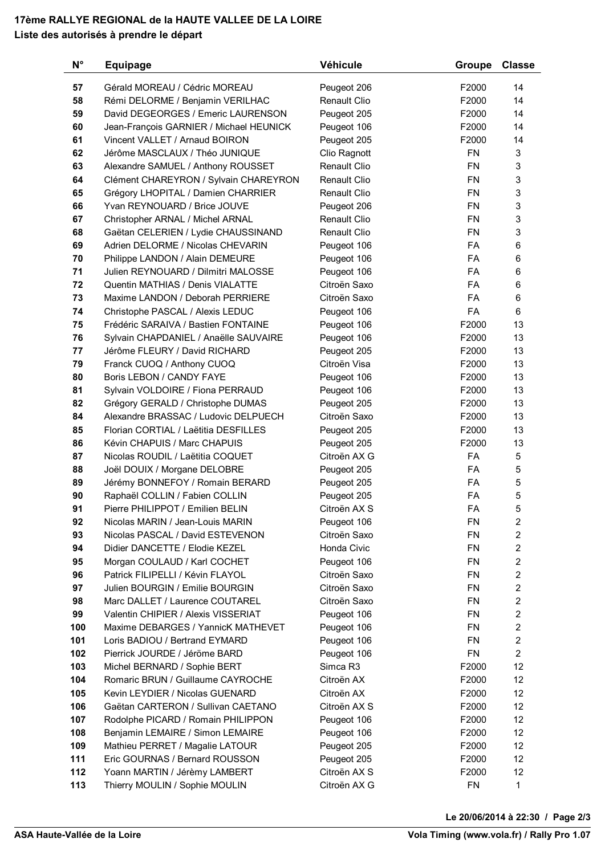## **17ème RALLYE REGIONAL de la HAUTE VALLEE DE LA LOIRE Liste des autorisés à prendre le départ**

| $N^{\circ}$ | <b>Equipage</b>                                                           | Véhicule                   | <b>Groupe</b>   | <b>Classe</b>       |
|-------------|---------------------------------------------------------------------------|----------------------------|-----------------|---------------------|
| 57          | Gérald MOREAU / Cédric MOREAU                                             | Peugeot 206                | F2000           | 14                  |
| 58          | Rémi DELORME / Benjamin VERILHAC                                          | <b>Renault Clio</b>        | F2000           | 14                  |
| 59          | David DEGEORGES / Emeric LAURENSON                                        | Peugeot 205                | F2000           | 14                  |
| 60          | Jean-François GARNIER / Michael HEUNICK                                   | Peugeot 106                | F2000           | 14                  |
| 61          | Vincent VALLET / Arnaud BOIRON                                            | Peugeot 205                | F2000           | 14                  |
| 62          | Jérôme MASCLAUX / Théo JUNIQUE                                            | Clio Ragnott               | <b>FN</b>       | 3                   |
| 63          | Alexandre SAMUEL / Anthony ROUSSET                                        | Renault Clio               | <b>FN</b>       | 3                   |
| 64          | Clément CHAREYRON / Sylvain CHAREYRON                                     | <b>Renault Clio</b>        | <b>FN</b>       | 3                   |
| 65          | Grégory LHOPITAL / Damien CHARRIER                                        | <b>Renault Clio</b>        | <b>FN</b>       | 3                   |
| 66          | Yvan REYNOUARD / Brice JOUVE                                              | Peugeot 206                | <b>FN</b>       | 3                   |
| 67          | Christopher ARNAL / Michel ARNAL                                          | <b>Renault Clio</b>        | <b>FN</b>       | 3                   |
| 68          | Gaëtan CELERIEN / Lydie CHAUSSINAND                                       | <b>Renault Clio</b>        | <b>FN</b>       | 3                   |
| 69          | Adrien DELORME / Nicolas CHEVARIN                                         | Peugeot 106                | FA              | 6                   |
| 70          | Philippe LANDON / Alain DEMEURE                                           | Peugeot 106                | <b>FA</b>       | 6                   |
| 71          | Julien REYNOUARD / Dilmitri MALOSSE                                       | Peugeot 106                | FA              | 6                   |
| 72          | Quentin MATHIAS / Denis VIALATTE                                          | Citroën Saxo               | FA              | 6                   |
| 73          | Maxime LANDON / Deborah PERRIERE                                          | Citroën Saxo               | <b>FA</b>       | 6                   |
| 74          | Christophe PASCAL / Alexis LEDUC                                          | Peugeot 106                | FA              | 6                   |
| 75          | Frédéric SARAIVA / Bastien FONTAINE                                       | Peugeot 106                | F2000           | 13                  |
| 76          | Sylvain CHAPDANIEL / Anaëlle SAUVAIRE                                     | Peugeot 106                | F2000           | 13                  |
| 77          | Jérôme FLEURY / David RICHARD                                             | Peugeot 205                | F2000           | 13                  |
| 79          | Franck CUOQ / Anthony CUOQ                                                | Citroën Visa               | F2000           | 13                  |
| 80          | Boris LEBON / CANDY FAYE                                                  | Peugeot 106                | F2000           | 13                  |
| 81          | Sylvain VOLDOIRE / Fiona PERRAUD                                          | Peugeot 106                | F2000           | 13                  |
| 82          | Grégory GERALD / Christophe DUMAS                                         | Peugeot 205                | F2000           | 13                  |
| 84          | Alexandre BRASSAC / Ludovic DELPUECH                                      | Citroën Saxo               | F2000           | 13                  |
| 85          | Florian CORTIAL / Laëtitia DESFILLES                                      | Peugeot 205                | F2000           | 13                  |
| 86          | Kévin CHAPUIS / Marc CHAPUIS                                              | Peugeot 205                | F2000           | 13                  |
| 87          | Nicolas ROUDIL / Laëtitia COQUET                                          | Citroën AX G               | FA              | 5                   |
| 88          | Joël DOUIX / Morgane DELOBRE                                              | Peugeot 205                | FA              | 5                   |
| 89          | Jérémy BONNEFOY / Romain BERARD                                           | Peugeot 205                | <b>FA</b>       | 5                   |
| 90          | Raphaël COLLIN / Fabien COLLIN                                            | Peugeot 205                | FA              | 5                   |
| 91          | Pierre PHILIPPOT / Emilien BELIN                                          | Citroën AX S               | FA              | 5                   |
| 92          | Nicolas MARIN / Jean-Louis MARIN                                          | Peugeot 106                | FN              | $\boldsymbol{2}$    |
| 93          | Nicolas PASCAL / David ESTEVENON                                          | Citroën Saxo               | <b>FN</b>       | $\mathbf{2}$        |
| 94          | Didier DANCETTE / Elodie KEZEL                                            | Honda Civic                | FN              | $\overline{2}$      |
| 95          | Morgan COULAUD / Karl COCHET                                              | Peugeot 106                | <b>FN</b>       | 2                   |
| 96          | Patrick FILIPELLI / Kévin FLAYOL                                          | Citroën Saxo               | <b>FN</b>       | $\overline{c}$      |
| 97          | Julien BOURGIN / Emilie BOURGIN                                           | Citroën Saxo               | <b>FN</b>       | $\overline{2}$      |
| 98<br>99    | Marc DALLET / Laurence COUTAREL                                           | Citroën Saxo               | <b>FN</b><br>FN | 2<br>$\overline{c}$ |
| 100         | Valentin CHIPIER / Alexis VISSERIAT<br>Maxime DEBARGES / YannicK MATHEVET | Peugeot 106<br>Peugeot 106 | FN              | $\overline{c}$      |
| 101         | Loris BADIOU / Bertrand EYMARD                                            | Peugeot 106                | <b>FN</b>       | $\overline{2}$      |
| 102         | Pierrick JOURDE / Jéröme BARD                                             | Peugeot 106                | <b>FN</b>       | $\overline{2}$      |
| 103         | Michel BERNARD / Sophie BERT                                              | Simca R3                   | F2000           | 12                  |
| 104         | Romaric BRUN / Guillaume CAYROCHE                                         | Citroën AX                 | F2000           | 12                  |
| 105         | Kevin LEYDIER / Nicolas GUENARD                                           | Citroën AX                 | F2000           | 12                  |
| 106         | Gaëtan CARTERON / Sullivan CAETANO                                        | Citroën AX S               | F2000           | 12                  |
| 107         | Rodolphe PICARD / Romain PHILIPPON                                        | Peugeot 106                | F2000           | 12                  |
| 108         | Benjamin LEMAIRE / Simon LEMAIRE                                          | Peugeot 106                | F2000           | 12                  |
| 109         | Mathieu PERRET / Magalie LATOUR                                           | Peugeot 205                | F2000           | 12                  |
| 111         | Eric GOURNAS / Bernard ROUSSON                                            | Peugeot 205                | F2000           | 12                  |
| 112         | Yoann MARTIN / Jérèmy LAMBERT                                             | Citroën AX S               | F2000           | 12                  |
| 113         | Thierry MOULIN / Sophie MOULIN                                            | Citroën AX G               | <b>FN</b>       | 1                   |
|             |                                                                           |                            |                 |                     |

**Le 20/06/2014 à 22:30 / Page 2/3**